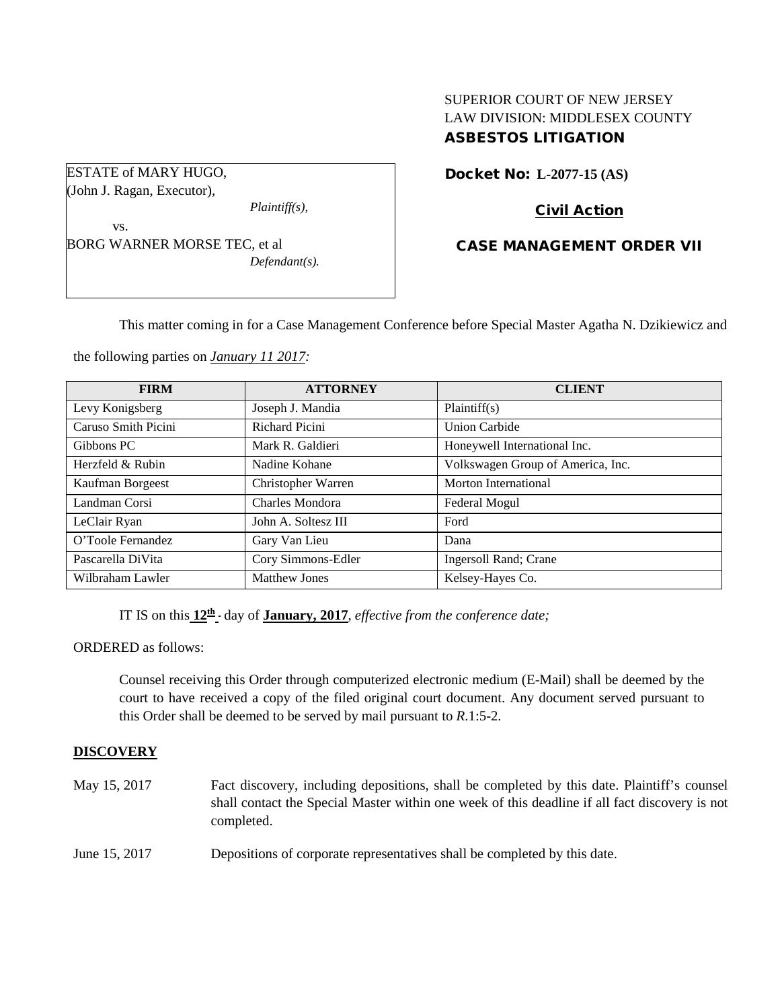# SUPERIOR COURT OF NEW JERSEY LAW DIVISION: MIDDLESEX COUNTY ASBESTOS LITIGATION

Docket No: **L-2077-15 (AS)** 

# Civil Action

## CASE MANAGEMENT ORDER VII

This matter coming in for a Case Management Conference before Special Master Agatha N. Dzikiewicz and

the following parties on *January 11 2017:*

| <b>FIRM</b>         | <b>ATTORNEY</b>      | <b>CLIENT</b>                     |
|---------------------|----------------------|-----------------------------------|
| Levy Konigsberg     | Joseph J. Mandia     | Plaintiff(s)                      |
| Caruso Smith Picini | Richard Picini       | <b>Union Carbide</b>              |
| Gibbons PC          | Mark R. Galdieri     | Honeywell International Inc.      |
| Herzfeld & Rubin    | Nadine Kohane        | Volkswagen Group of America, Inc. |
| Kaufman Borgeest    | Christopher Warren   | Morton International              |
| Landman Corsi       | Charles Mondora      | Federal Mogul                     |
| LeClair Ryan        | John A. Soltesz III  | Ford                              |
| O'Toole Fernandez   | Gary Van Lieu        | Dana                              |
| Pascarella DiVita   | Cory Simmons-Edler   | Ingersoll Rand; Crane             |
| Wilbraham Lawler    | <b>Matthew Jones</b> | Kelsey-Hayes Co.                  |

IT IS on this  $12^{\text{th}}$  day of **January, 2017**, *effective from the conference date;* 

ORDERED as follows:

Counsel receiving this Order through computerized electronic medium (E-Mail) shall be deemed by the court to have received a copy of the filed original court document. Any document served pursuant to this Order shall be deemed to be served by mail pursuant to *R*.1:5-2.

#### **DISCOVERY**

May 15, 2017 Fact discovery, including depositions, shall be completed by this date. Plaintiff's counsel shall contact the Special Master within one week of this deadline if all fact discovery is not completed.

June 15, 2017 Depositions of corporate representatives shall be completed by this date.

ESTATE of MARY HUGO, (John J. Ragan, Executor),

*Plaintiff(s),*

vs. BORG WARNER MORSE TEC, et al *Defendant(s).*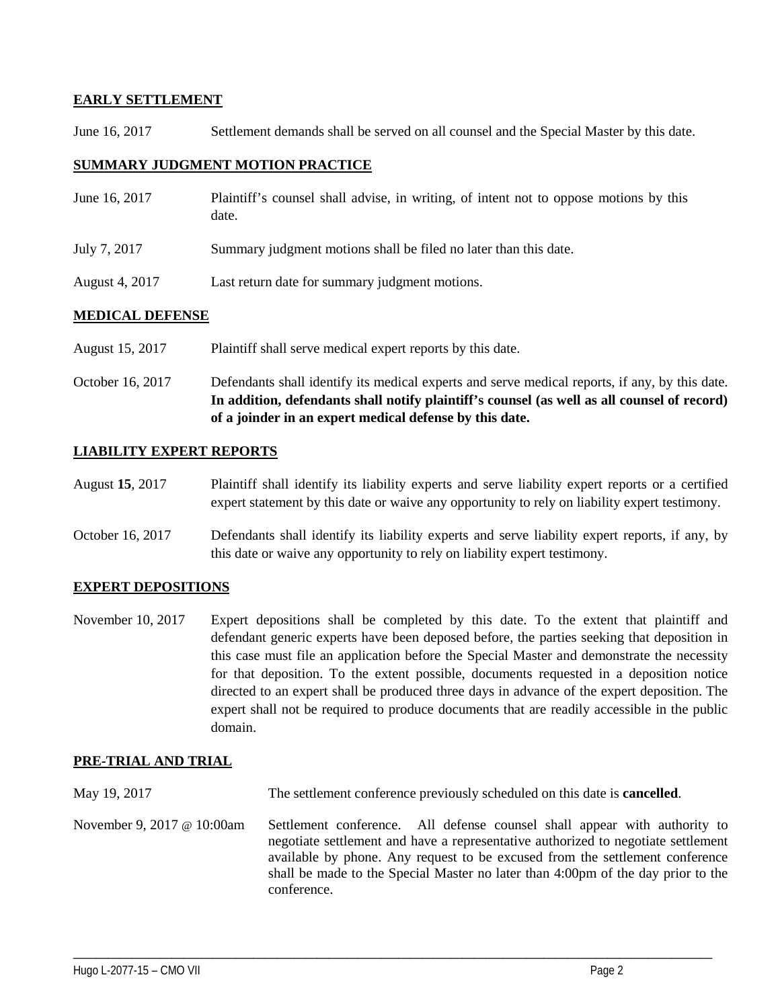## **EARLY SETTLEMENT**

June 16, 2017 Settlement demands shall be served on all counsel and the Special Master by this date.

## **SUMMARY JUDGMENT MOTION PRACTICE**

| June 16, 2017  | Plaintiff's counsel shall advise, in writing, of intent not to oppose motions by this<br>date. |
|----------------|------------------------------------------------------------------------------------------------|
| July 7, 2017   | Summary judgment motions shall be filed no later than this date.                               |
| August 4, 2017 | Last return date for summary judgment motions.                                                 |

## **MEDICAL DEFENSE**

- August 15, 2017 Plaintiff shall serve medical expert reports by this date.
- October 16, 2017 Defendants shall identify its medical experts and serve medical reports, if any, by this date. **In addition, defendants shall notify plaintiff's counsel (as well as all counsel of record) of a joinder in an expert medical defense by this date.**

## **LIABILITY EXPERT REPORTS**

- August **15**, 2017 Plaintiff shall identify its liability experts and serve liability expert reports or a certified expert statement by this date or waive any opportunity to rely on liability expert testimony.
- October 16, 2017 Defendants shall identify its liability experts and serve liability expert reports, if any, by this date or waive any opportunity to rely on liability expert testimony.

#### **EXPERT DEPOSITIONS**

November 10, 2017 Expert depositions shall be completed by this date. To the extent that plaintiff and defendant generic experts have been deposed before, the parties seeking that deposition in this case must file an application before the Special Master and demonstrate the necessity for that deposition. To the extent possible, documents requested in a deposition notice directed to an expert shall be produced three days in advance of the expert deposition. The expert shall not be required to produce documents that are readily accessible in the public domain.

#### **PRE-TRIAL AND TRIAL**

May 19, 2017 The settlement conference previously scheduled on this date is **cancelled**.

November 9, 2017 @ 10:00am Settlement conference. All defense counsel shall appear with authority to negotiate settlement and have a representative authorized to negotiate settlement available by phone. Any request to be excused from the settlement conference shall be made to the Special Master no later than 4:00pm of the day prior to the conference.

\_\_\_\_\_\_\_\_\_\_\_\_\_\_\_\_\_\_\_\_\_\_\_\_\_\_\_\_\_\_\_\_\_\_\_\_\_\_\_\_\_\_\_\_\_\_\_\_\_\_\_\_\_\_\_\_\_\_\_\_\_\_\_\_\_\_\_\_\_\_\_\_\_\_\_\_\_\_\_\_\_\_\_\_\_\_\_\_\_\_\_\_\_\_\_\_\_\_\_\_\_\_\_\_\_\_\_\_\_\_